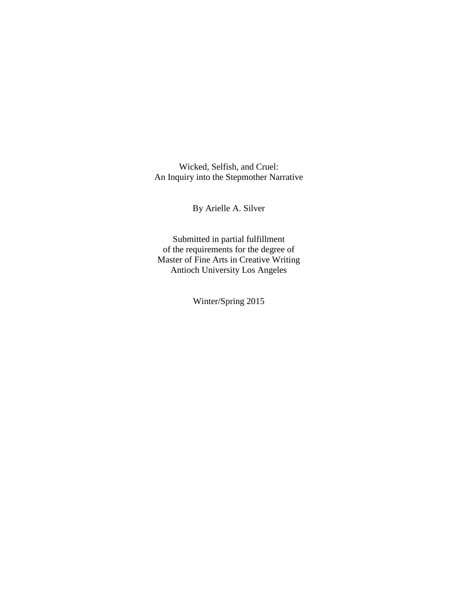Wicked, Selfish, and Cruel: An Inquiry into the Stepmother Narrative

By Arielle A. Silver

Submitted in partial fulfillment of the requirements for the degree of Master of Fine Arts in Creative Writing Antioch University Los Angeles

Winter/Spring 2015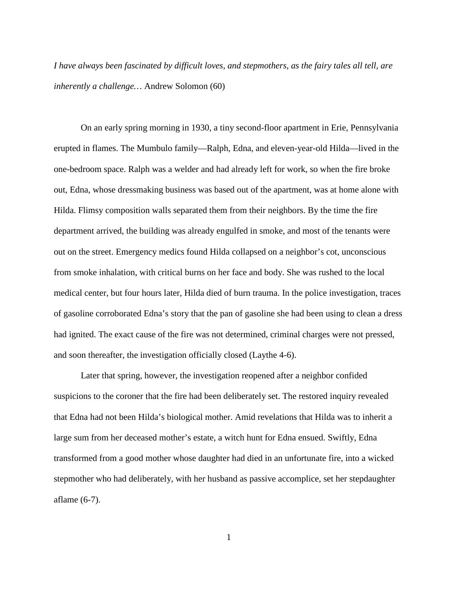*I have always been fascinated by difficult loves, and stepmothers, as the fairy tales all tell, are inherently a challenge…* Andrew Solomon (60)

On an early spring morning in 1930, a tiny second-floor apartment in Erie, Pennsylvania erupted in flames. The Mumbulo family—Ralph, Edna, and eleven-year-old Hilda—lived in the one-bedroom space. Ralph was a welder and had already left for work, so when the fire broke out, Edna, whose dressmaking business was based out of the apartment, was at home alone with Hilda. Flimsy composition walls separated them from their neighbors. By the time the fire department arrived, the building was already engulfed in smoke, and most of the tenants were out on the street. Emergency medics found Hilda collapsed on a neighbor's cot, unconscious from smoke inhalation, with critical burns on her face and body. She was rushed to the local medical center, but four hours later, Hilda died of burn trauma. In the police investigation, traces of gasoline corroborated Edna's story that the pan of gasoline she had been using to clean a dress had ignited. The exact cause of the fire was not determined, criminal charges were not pressed, and soon thereafter, the investigation officially closed (Laythe 4-6).

Later that spring, however, the investigation reopened after a neighbor confided suspicions to the coroner that the fire had been deliberately set. The restored inquiry revealed that Edna had not been Hilda's biological mother. Amid revelations that Hilda was to inherit a large sum from her deceased mother's estate, a witch hunt for Edna ensued. Swiftly, Edna transformed from a good mother whose daughter had died in an unfortunate fire, into a wicked stepmother who had deliberately, with her husband as passive accomplice, set her stepdaughter aflame (6-7).

1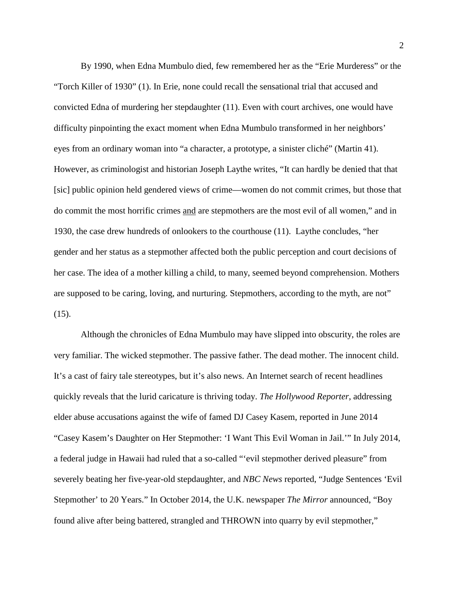By 1990, when Edna Mumbulo died, few remembered her as the "Erie Murderess" or the "Torch Killer of 1930" (1). In Erie, none could recall the sensational trial that accused and convicted Edna of murdering her stepdaughter (11). Even with court archives, one would have difficulty pinpointing the exact moment when Edna Mumbulo transformed in her neighbors' eyes from an ordinary woman into "a character, a prototype, a sinister cliché" (Martin 41). However, as criminologist and historian Joseph Laythe writes, "It can hardly be denied that that [sic] public opinion held gendered views of crime—women do not commit crimes, but those that do commit the most horrific crimes and are stepmothers are the most evil of all women," and in 1930, the case drew hundreds of onlookers to the courthouse (11). Laythe concludes, "her gender and her status as a stepmother affected both the public perception and court decisions of her case. The idea of a mother killing a child, to many, seemed beyond comprehension. Mothers are supposed to be caring, loving, and nurturing. Stepmothers, according to the myth, are not"  $(15)$ .

Although the chronicles of Edna Mumbulo may have slipped into obscurity, the roles are very familiar. The wicked stepmother. The passive father. The dead mother. The innocent child. It's a cast of fairy tale stereotypes, but it's also news. An Internet search of recent headlines quickly reveals that the lurid caricature is thriving today. *The Hollywood Reporter*, addressing elder abuse accusations against the wife of famed DJ Casey Kasem, reported in June 2014 "Casey Kasem's Daughter on Her Stepmother: 'I Want This Evil Woman in Jail.'" In July 2014, a federal judge in Hawaii had ruled that a so-called "'evil stepmother derived pleasure" from severely beating her five-year-old stepdaughter, and *NBC News* reported, "Judge Sentences 'Evil Stepmother' to 20 Years." In October 2014, the U.K. newspaper *The Mirror* announced, "Boy found alive after being battered, strangled and THROWN into quarry by evil stepmother,"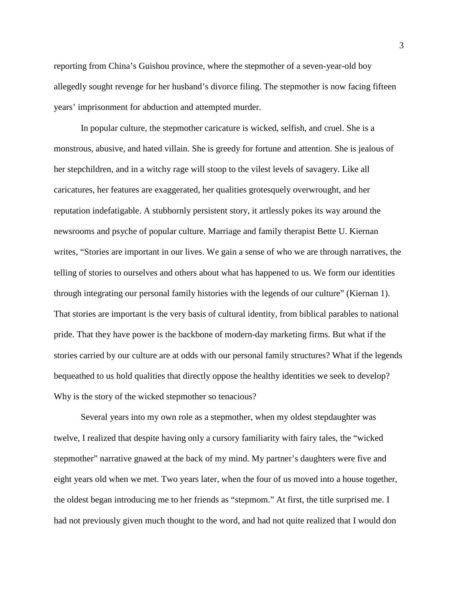reporting from China's Guishou province, where the stepmother of a seven-year-old boy allegedly sought revenge for her husband's divorce filing. The stepmother is now facing fifteen years' imprisonment for abduction and attempted murder.

In popular culture, the stepmother caricature is wicked, selfish, and cruel. She is a monstrous, abusive, and hated villain. She is greedy for fortune and attention. She is jealous of her stepchildren, and in a witchy rage will stoop to the vilest levels of savagery. Like all caricatures, her features are exaggerated, her qualities grotesquely overwrought, and her reputation indefatigable. A stubbornly persistent story, it artlessly pokes its way around the newsrooms and psyche of popular culture. Marriage and family therapist Bette U. Kiernan writes, "Stories are important in our lives. We gain a sense of who we are through narratives, the telling of stories to ourselves and others about what has happened to us. We form our identities through integrating our personal family histories with the legends of our culture" (Kiernan 1). That stories are important is the very basis of cultural identity, from biblical parables to national pride. That they have power is the backbone of modern-day marketing firms. But what if the stories carried by our culture are at odds with our personal family structures? What if the legends bequeathed to us hold qualities that directly oppose the healthy identities we seek to develop? Why is the story of the wicked stepmother so tenacious?

Several years into my own role as a stepmother, when my oldest stepdaughter was twelve, I realized that despite having only a cursory familiarity with fairy tales, the "wicked stepmother" narrative gnawed at the back of my mind. My partner's daughters were five and eight years old when we met. Two years later, when the four of us moved into a house together, the oldest began introducing me to her friends as "stepmom." At first, the title surprised me. I had not previously given much thought to the word, and had not quite realized that I would don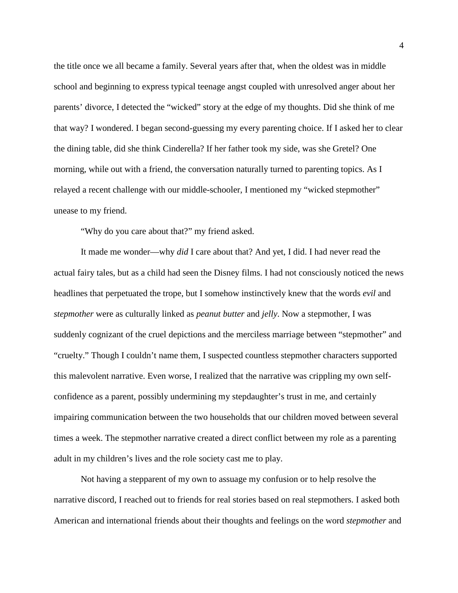the title once we all became a family. Several years after that, when the oldest was in middle school and beginning to express typical teenage angst coupled with unresolved anger about her parents' divorce, I detected the "wicked" story at the edge of my thoughts. Did she think of me that way? I wondered. I began second-guessing my every parenting choice. If I asked her to clear the dining table, did she think Cinderella? If her father took my side, was she Gretel? One morning, while out with a friend, the conversation naturally turned to parenting topics. As I relayed a recent challenge with our middle-schooler, I mentioned my "wicked stepmother" unease to my friend.

"Why do you care about that?" my friend asked.

It made me wonder—why *did* I care about that? And yet, I did. I had never read the actual fairy tales, but as a child had seen the Disney films. I had not consciously noticed the news headlines that perpetuated the trope, but I somehow instinctively knew that the words *evil* and *stepmother* were as culturally linked as *peanut butter* and *jelly*. Now a stepmother, I was suddenly cognizant of the cruel depictions and the merciless marriage between "stepmother" and "cruelty." Though I couldn't name them, I suspected countless stepmother characters supported this malevolent narrative. Even worse, I realized that the narrative was crippling my own selfconfidence as a parent, possibly undermining my stepdaughter's trust in me, and certainly impairing communication between the two households that our children moved between several times a week. The stepmother narrative created a direct conflict between my role as a parenting adult in my children's lives and the role society cast me to play.

Not having a stepparent of my own to assuage my confusion or to help resolve the narrative discord, I reached out to friends for real stories based on real stepmothers. I asked both American and international friends about their thoughts and feelings on the word *stepmother* and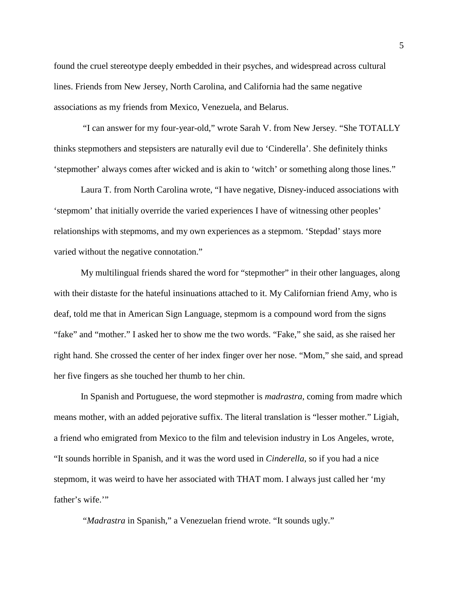found the cruel stereotype deeply embedded in their psyches, and widespread across cultural lines. Friends from New Jersey, North Carolina, and California had the same negative associations as my friends from Mexico, Venezuela, and Belarus.

"I can answer for my four-year-old," wrote Sarah V. from New Jersey. "She TOTALLY thinks stepmothers and stepsisters are naturally evil due to 'Cinderella'. She definitely thinks 'stepmother' always comes after wicked and is akin to 'witch' or something along those lines."

Laura T. from North Carolina wrote, "I have negative, Disney-induced associations with 'stepmom' that initially override the varied experiences I have of witnessing other peoples' relationships with stepmoms, and my own experiences as a stepmom. 'Stepdad' stays more varied without the negative connotation."

My multilingual friends shared the word for "stepmother" in their other languages, along with their distaste for the hateful insinuations attached to it. My Californian friend Amy, who is deaf, told me that in American Sign Language, stepmom is a compound word from the signs "fake" and "mother." I asked her to show me the two words. "Fake," she said, as she raised her right hand. She crossed the center of her index finger over her nose. "Mom," she said, and spread her five fingers as she touched her thumb to her chin.

In Spanish and Portuguese, the word stepmother is *madrastra*, coming from madre which means mother, with an added pejorative suffix. The literal translation is "lesser mother." Ligiah, a friend who emigrated from Mexico to the film and television industry in Los Angeles, wrote, "It sounds horrible in Spanish, and it was the word used in *Cinderella*, so if you had a nice stepmom, it was weird to have her associated with THAT mom. I always just called her 'my father's wife."

"*Madrastra* in Spanish," a Venezuelan friend wrote. "It sounds ugly."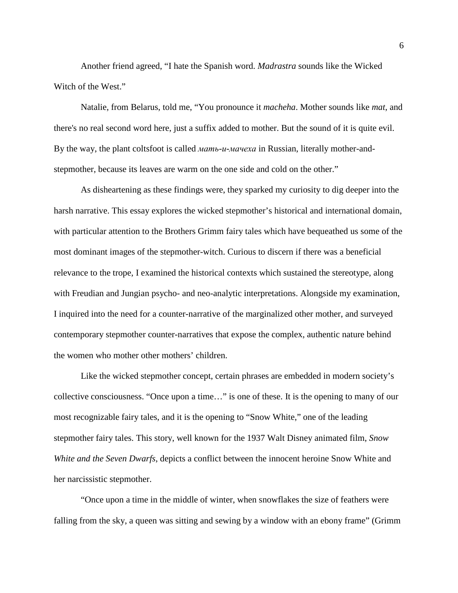Another friend agreed, "I hate the Spanish word. *Madrastra* sounds like the Wicked Witch of the West."

Natalie, from Belarus, told me, "You pronounce it *macheha*. Mother sounds like *mat*, and there's no real second word here, just a suffix added to mother. But the sound of it is quite evil. By the way, the plant coltsfoot is called *мать-и-мачеха* in Russian, literally mother-andstepmother, because its leaves are warm on the one side and cold on the other."

As disheartening as these findings were, they sparked my curiosity to dig deeper into the harsh narrative. This essay explores the wicked stepmother's historical and international domain, with particular attention to the Brothers Grimm fairy tales which have bequeathed us some of the most dominant images of the stepmother-witch. Curious to discern if there was a beneficial relevance to the trope, I examined the historical contexts which sustained the stereotype, along with Freudian and Jungian psycho- and neo-analytic interpretations. Alongside my examination, I inquired into the need for a counter-narrative of the marginalized other mother, and surveyed contemporary stepmother counter-narratives that expose the complex, authentic nature behind the women who mother other mothers' children.

Like the wicked stepmother concept, certain phrases are embedded in modern society's collective consciousness. "Once upon a time…" is one of these. It is the opening to many of our most recognizable fairy tales, and it is the opening to "Snow White," one of the leading stepmother fairy tales. This story, well known for the 1937 Walt Disney animated film, *Snow White and the Seven Dwarfs*, depicts a conflict between the innocent heroine Snow White and her narcissistic stepmother.

"Once upon a time in the middle of winter, when snowflakes the size of feathers were falling from the sky, a queen was sitting and sewing by a window with an ebony frame" (Grimm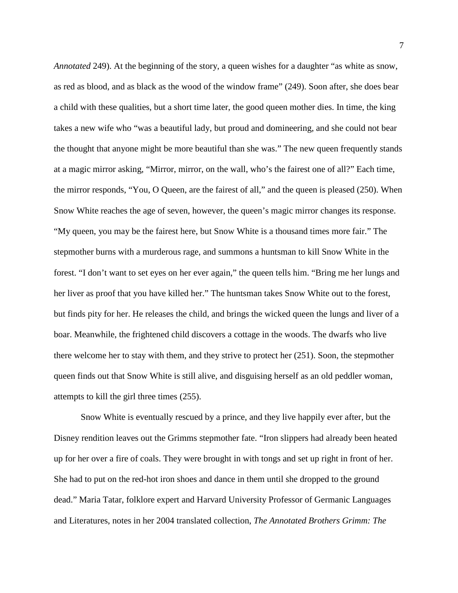*Annotated* 249). At the beginning of the story, a queen wishes for a daughter "as white as snow, as red as blood, and as black as the wood of the window frame" (249). Soon after, she does bear a child with these qualities, but a short time later, the good queen mother dies. In time, the king takes a new wife who "was a beautiful lady, but proud and domineering, and she could not bear the thought that anyone might be more beautiful than she was." The new queen frequently stands at a magic mirror asking, "Mirror, mirror, on the wall, who's the fairest one of all?" Each time, the mirror responds, "You, O Queen, are the fairest of all," and the queen is pleased (250). When Snow White reaches the age of seven, however, the queen's magic mirror changes its response. "My queen, you may be the fairest here, but Snow White is a thousand times more fair." The stepmother burns with a murderous rage, and summons a huntsman to kill Snow White in the forest. "I don't want to set eyes on her ever again," the queen tells him. "Bring me her lungs and her liver as proof that you have killed her." The huntsman takes Snow White out to the forest, but finds pity for her. He releases the child, and brings the wicked queen the lungs and liver of a boar. Meanwhile, the frightened child discovers a cottage in the woods. The dwarfs who live there welcome her to stay with them, and they strive to protect her (251). Soon, the stepmother queen finds out that Snow White is still alive, and disguising herself as an old peddler woman, attempts to kill the girl three times (255).

Snow White is eventually rescued by a prince, and they live happily ever after, but the Disney rendition leaves out the Grimms stepmother fate. "Iron slippers had already been heated up for her over a fire of coals. They were brought in with tongs and set up right in front of her. She had to put on the red-hot iron shoes and dance in them until she dropped to the ground dead." Maria Tatar, folklore expert and Harvard University Professor of Germanic Languages and Literatures, notes in her 2004 translated collection, *The Annotated Brothers Grimm: The*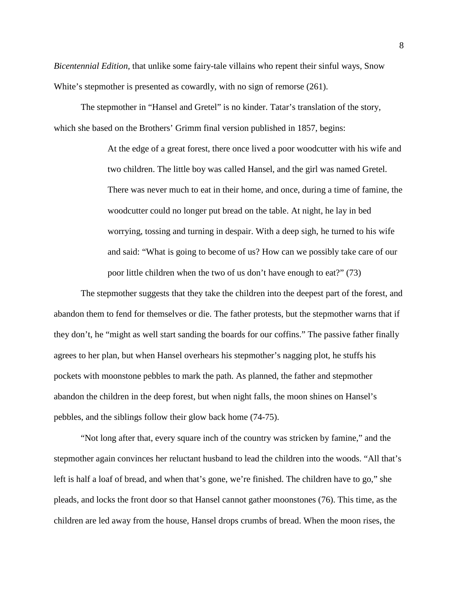*Bicentennial Edition,* that unlike some fairy-tale villains who repent their sinful ways, Snow White's stepmother is presented as cowardly, with no sign of remorse (261).

The stepmother in "Hansel and Gretel" is no kinder. Tatar's translation of the story, which she based on the Brothers' Grimm final version published in 1857, begins:

> At the edge of a great forest, there once lived a poor woodcutter with his wife and two children. The little boy was called Hansel, and the girl was named Gretel. There was never much to eat in their home, and once, during a time of famine, the woodcutter could no longer put bread on the table. At night, he lay in bed worrying, tossing and turning in despair. With a deep sigh, he turned to his wife and said: "What is going to become of us? How can we possibly take care of our poor little children when the two of us don't have enough to eat?" (73)

The stepmother suggests that they take the children into the deepest part of the forest, and abandon them to fend for themselves or die. The father protests, but the stepmother warns that if they don't, he "might as well start sanding the boards for our coffins." The passive father finally agrees to her plan, but when Hansel overhears his stepmother's nagging plot, he stuffs his pockets with moonstone pebbles to mark the path. As planned, the father and stepmother abandon the children in the deep forest, but when night falls, the moon shines on Hansel's pebbles, and the siblings follow their glow back home (74-75).

"Not long after that, every square inch of the country was stricken by famine," and the stepmother again convinces her reluctant husband to lead the children into the woods. "All that's left is half a loaf of bread, and when that's gone, we're finished. The children have to go," she pleads, and locks the front door so that Hansel cannot gather moonstones (76). This time, as the children are led away from the house, Hansel drops crumbs of bread. When the moon rises, the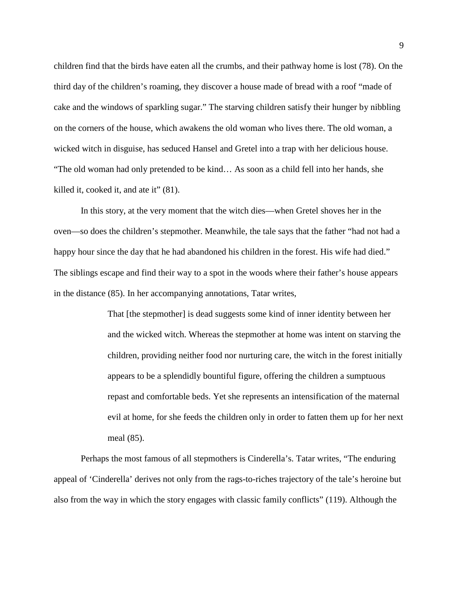children find that the birds have eaten all the crumbs, and their pathway home is lost (78). On the third day of the children's roaming, they discover a house made of bread with a roof "made of cake and the windows of sparkling sugar." The starving children satisfy their hunger by nibbling on the corners of the house, which awakens the old woman who lives there. The old woman, a wicked witch in disguise, has seduced Hansel and Gretel into a trap with her delicious house. "The old woman had only pretended to be kind… As soon as a child fell into her hands, she killed it, cooked it, and ate it" (81).

In this story, at the very moment that the witch dies—when Gretel shoves her in the oven—so does the children's stepmother. Meanwhile, the tale says that the father "had not had a happy hour since the day that he had abandoned his children in the forest. His wife had died." The siblings escape and find their way to a spot in the woods where their father's house appears in the distance (85). In her accompanying annotations, Tatar writes,

> That [the stepmother] is dead suggests some kind of inner identity between her and the wicked witch. Whereas the stepmother at home was intent on starving the children, providing neither food nor nurturing care, the witch in the forest initially appears to be a splendidly bountiful figure, offering the children a sumptuous repast and comfortable beds. Yet she represents an intensification of the maternal evil at home, for she feeds the children only in order to fatten them up for her next meal (85).

Perhaps the most famous of all stepmothers is Cinderella's. Tatar writes, "The enduring appeal of 'Cinderella' derives not only from the rags-to-riches trajectory of the tale's heroine but also from the way in which the story engages with classic family conflicts" (119). Although the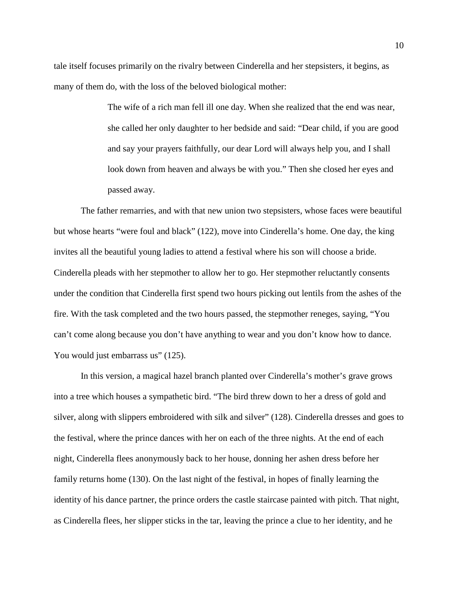tale itself focuses primarily on the rivalry between Cinderella and her stepsisters, it begins, as many of them do, with the loss of the beloved biological mother:

> The wife of a rich man fell ill one day. When she realized that the end was near, she called her only daughter to her bedside and said: "Dear child, if you are good and say your prayers faithfully, our dear Lord will always help you, and I shall look down from heaven and always be with you." Then she closed her eyes and passed away.

The father remarries, and with that new union two stepsisters, whose faces were beautiful but whose hearts "were foul and black" (122), move into Cinderella's home. One day, the king invites all the beautiful young ladies to attend a festival where his son will choose a bride. Cinderella pleads with her stepmother to allow her to go. Her stepmother reluctantly consents under the condition that Cinderella first spend two hours picking out lentils from the ashes of the fire. With the task completed and the two hours passed, the stepmother reneges, saying, "You can't come along because you don't have anything to wear and you don't know how to dance. You would just embarrass us" (125).

In this version, a magical hazel branch planted over Cinderella's mother's grave grows into a tree which houses a sympathetic bird. "The bird threw down to her a dress of gold and silver, along with slippers embroidered with silk and silver" (128). Cinderella dresses and goes to the festival, where the prince dances with her on each of the three nights. At the end of each night, Cinderella flees anonymously back to her house, donning her ashen dress before her family returns home (130). On the last night of the festival, in hopes of finally learning the identity of his dance partner, the prince orders the castle staircase painted with pitch. That night, as Cinderella flees, her slipper sticks in the tar, leaving the prince a clue to her identity, and he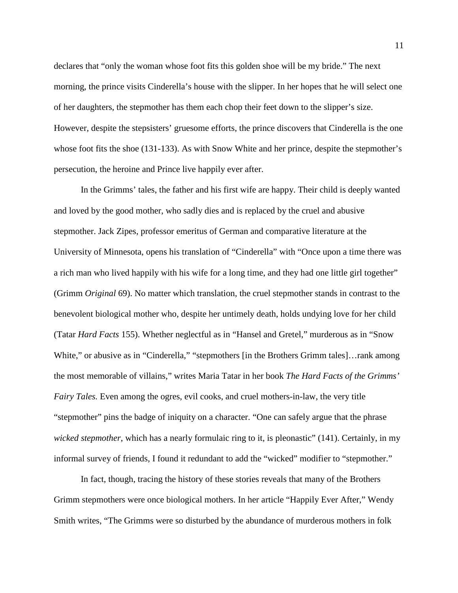declares that "only the woman whose foot fits this golden shoe will be my bride." The next morning, the prince visits Cinderella's house with the slipper. In her hopes that he will select one of her daughters, the stepmother has them each chop their feet down to the slipper's size. However, despite the stepsisters' gruesome efforts, the prince discovers that Cinderella is the one whose foot fits the shoe (131-133). As with Snow White and her prince, despite the stepmother's persecution, the heroine and Prince live happily ever after.

In the Grimms' tales, the father and his first wife are happy. Their child is deeply wanted and loved by the good mother, who sadly dies and is replaced by the cruel and abusive stepmother. Jack Zipes, professor emeritus of German and comparative literature at the University of Minnesota, opens his translation of "Cinderella" with "Once upon a time there was a rich man who lived happily with his wife for a long time, and they had one little girl together" (Grimm *Original* 69). No matter which translation, the cruel stepmother stands in contrast to the benevolent biological mother who, despite her untimely death, holds undying love for her child (Tatar *Hard Facts* 155). Whether neglectful as in "Hansel and Gretel," murderous as in "Snow White," or abusive as in "Cinderella," "stepmothers [in the Brothers Grimm tales]...rank among the most memorable of villains," writes Maria Tatar in her book *The Hard Facts of the Grimms' Fairy Tales.* Even among the ogres, evil cooks, and cruel mothers-in-law, the very title "stepmother" pins the badge of iniquity on a character. "One can safely argue that the phrase *wicked stepmother*, which has a nearly formulaic ring to it, is pleonastic" (141). Certainly, in my informal survey of friends, I found it redundant to add the "wicked" modifier to "stepmother."

In fact, though, tracing the history of these stories reveals that many of the Brothers Grimm stepmothers were once biological mothers. In her article "Happily Ever After," Wendy Smith writes, "The Grimms were so disturbed by the abundance of murderous mothers in folk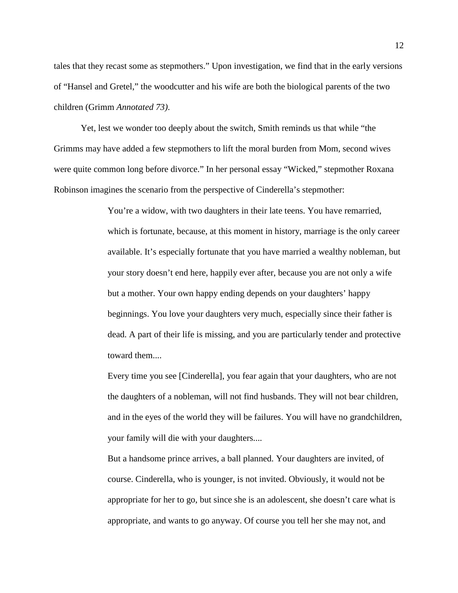tales that they recast some as stepmothers." Upon investigation, we find that in the early versions of "Hansel and Gretel," the woodcutter and his wife are both the biological parents of the two children (Grimm *Annotated 73)*.

Yet, lest we wonder too deeply about the switch, Smith reminds us that while "the Grimms may have added a few stepmothers to lift the moral burden from Mom, second wives were quite common long before divorce." In her personal essay "Wicked," stepmother Roxana Robinson imagines the scenario from the perspective of Cinderella's stepmother:

> You're a widow, with two daughters in their late teens. You have remarried, which is fortunate, because, at this moment in history, marriage is the only career available. It's especially fortunate that you have married a wealthy nobleman, but your story doesn't end here, happily ever after, because you are not only a wife but a mother. Your own happy ending depends on your daughters' happy beginnings. You love your daughters very much, especially since their father is dead. A part of their life is missing, and you are particularly tender and protective toward them....

> Every time you see [Cinderella], you fear again that your daughters, who are not the daughters of a nobleman, will not find husbands. They will not bear children, and in the eyes of the world they will be failures. You will have no grandchildren, your family will die with your daughters....

But a handsome prince arrives, a ball planned. Your daughters are invited, of course. Cinderella, who is younger, is not invited. Obviously, it would not be appropriate for her to go, but since she is an adolescent, she doesn't care what is appropriate, and wants to go anyway. Of course you tell her she may not, and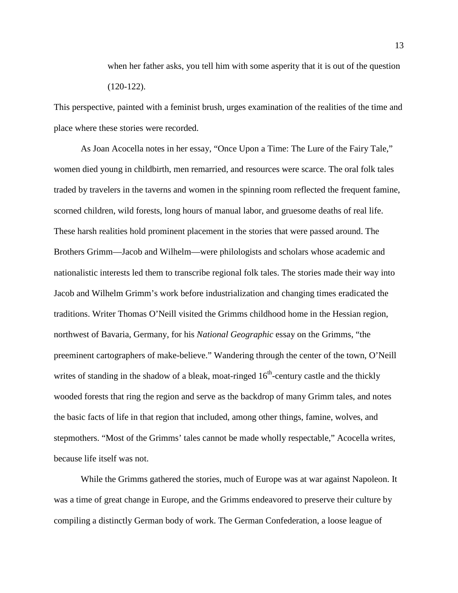when her father asks, you tell him with some asperity that it is out of the question (120-122).

This perspective, painted with a feminist brush, urges examination of the realities of the time and place where these stories were recorded.

As Joan Acocella notes in her essay, "Once Upon a Time: The Lure of the Fairy Tale," women died young in childbirth, men remarried, and resources were scarce. The oral folk tales traded by travelers in the taverns and women in the spinning room reflected the frequent famine, scorned children, wild forests, long hours of manual labor, and gruesome deaths of real life. These harsh realities hold prominent placement in the stories that were passed around. The Brothers Grimm—Jacob and Wilhelm—were philologists and scholars whose academic and nationalistic interests led them to transcribe regional folk tales. The stories made their way into Jacob and Wilhelm Grimm's work before industrialization and changing times eradicated the traditions. Writer Thomas O'Neill visited the Grimms childhood home in the Hessian region, northwest of Bavaria, Germany, for his *National Geographic* essay on the Grimms, "the preeminent cartographers of make-believe." Wandering through the center of the town, O'Neill writes of standing in the shadow of a bleak, moat-ringed  $16<sup>th</sup>$ -century castle and the thickly wooded forests that ring the region and serve as the backdrop of many Grimm tales, and notes the basic facts of life in that region that included, among other things, famine, wolves, and stepmothers. "Most of the Grimms' tales cannot be made wholly respectable," Acocella writes, because life itself was not.

While the Grimms gathered the stories, much of Europe was at war against Napoleon. It was a time of great change in Europe, and the Grimms endeavored to preserve their culture by compiling a distinctly German body of work. The German Confederation, a loose league of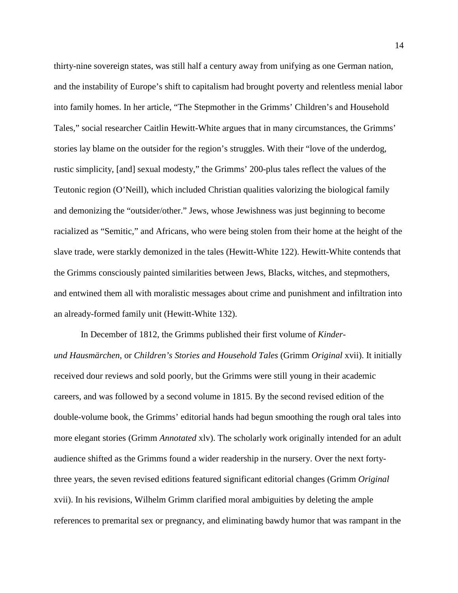thirty-nine sovereign states, was still half a century away from unifying as one German nation, and the instability of Europe's shift to capitalism had brought poverty and relentless menial labor into family homes. In her article, "The Stepmother in the Grimms' Children's and Household Tales," social researcher Caitlin Hewitt-White argues that in many circumstances, the Grimms' stories lay blame on the outsider for the region's struggles. With their "love of the underdog, rustic simplicity, [and] sexual modesty," the Grimms' 200-plus tales reflect the values of the Teutonic region (O'Neill), which included Christian qualities valorizing the biological family and demonizing the "outsider/other." Jews, whose Jewishness was just beginning to become racialized as "Semitic," and Africans, who were being stolen from their home at the height of the slave trade, were starkly demonized in the tales (Hewitt-White 122). Hewitt-White contends that the Grimms consciously painted similarities between Jews, Blacks, witches, and stepmothers, and entwined them all with moralistic messages about crime and punishment and infiltration into an already-formed family unit (Hewitt-White 132).

In December of 1812, the Grimms published their first volume of *Kinderund Hausmärchen*, or *Children's Stories and Household Tales* (Grimm *Original* xvii). It initially received dour reviews and sold poorly, but the Grimms were still young in their academic careers, and was followed by a second volume in 1815. By the second revised edition of the double-volume book, the Grimms' editorial hands had begun smoothing the rough oral tales into more elegant stories (Grimm *Annotated* xlv). The scholarly work originally intended for an adult audience shifted as the Grimms found a wider readership in the nursery. Over the next fortythree years, the seven revised editions featured significant editorial changes (Grimm *Original*  xvii). In his revisions, Wilhelm Grimm clarified moral ambiguities by deleting the ample references to premarital sex or pregnancy, and eliminating bawdy humor that was rampant in the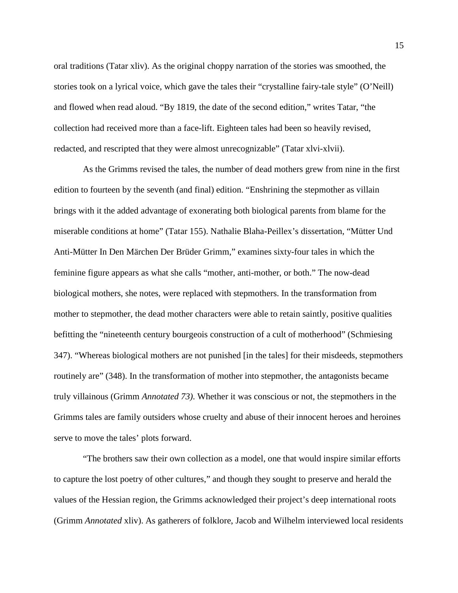oral traditions (Tatar xliv). As the original choppy narration of the stories was smoothed, the stories took on a lyrical voice, which gave the tales their "crystalline fairy-tale style" (O'Neill) and flowed when read aloud. "By 1819, the date of the second edition," writes Tatar, "the collection had received more than a face-lift. Eighteen tales had been so heavily revised, redacted, and rescripted that they were almost unrecognizable" (Tatar xlvi-xlvii).

As the Grimms revised the tales, the number of dead mothers grew from nine in the first edition to fourteen by the seventh (and final) edition. "Enshrining the stepmother as villain brings with it the added advantage of exonerating both biological parents from blame for the miserable conditions at home" (Tatar 155). Nathalie Blaha-Peillex's dissertation, "Mütter Und Anti-Mütter In Den Märchen Der Brüder Grimm," examines sixty-four tales in which the feminine figure appears as what she calls "mother, anti-mother, or both." The now-dead biological mothers, she notes, were replaced with stepmothers. In the transformation from mother to stepmother, the dead mother characters were able to retain saintly, positive qualities befitting the "nineteenth century bourgeois construction of a cult of motherhood" (Schmiesing 347). "Whereas biological mothers are not punished [in the tales] for their misdeeds, stepmothers routinely are" (348). In the transformation of mother into stepmother, the antagonists became truly villainous (Grimm *Annotated 73)*. Whether it was conscious or not, the stepmothers in the Grimms tales are family outsiders whose cruelty and abuse of their innocent heroes and heroines serve to move the tales' plots forward.

"The brothers saw their own collection as a model, one that would inspire similar efforts to capture the lost poetry of other cultures," and though they sought to preserve and herald the values of the Hessian region, the Grimms acknowledged their project's deep international roots (Grimm *Annotated* xliv). As gatherers of folklore, Jacob and Wilhelm interviewed local residents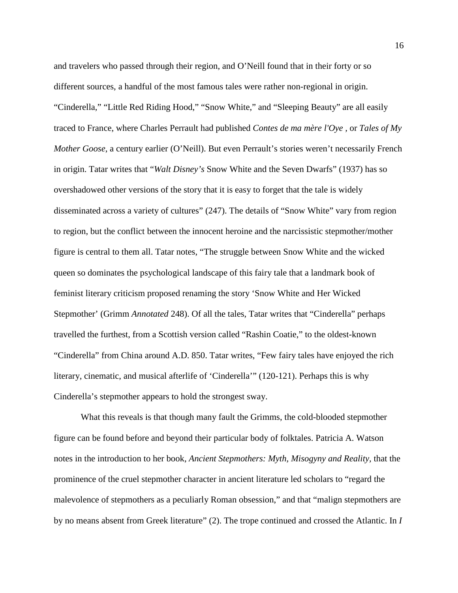and travelers who passed through their region, and O'Neill found that in their forty or so different sources, a handful of the most famous tales were rather non-regional in origin. "Cinderella," "Little Red Riding Hood," "Snow White," and "Sleeping Beauty" are all easily traced to France, where Charles Perrault had published *Contes de ma mère l'Oye ,* or *Tales of My Mother Goose*, a century earlier (O'Neill). But even Perrault's stories weren't necessarily French in origin. Tatar writes that "*Walt Disney's* Snow White and the Seven Dwarfs" (1937) has so overshadowed other versions of the story that it is easy to forget that the tale is widely disseminated across a variety of cultures" (247). The details of "Snow White" vary from region to region, but the conflict between the innocent heroine and the narcissistic stepmother/mother figure is central to them all. Tatar notes, "The struggle between Snow White and the wicked queen so dominates the psychological landscape of this fairy tale that a landmark book of feminist literary criticism proposed renaming the story 'Snow White and Her Wicked Stepmother' (Grimm *Annotated* 248). Of all the tales, Tatar writes that "Cinderella" perhaps travelled the furthest, from a Scottish version called "Rashin Coatie," to the oldest-known "Cinderella" from China around A.D. 850. Tatar writes, "Few fairy tales have enjoyed the rich literary, cinematic, and musical afterlife of 'Cinderella'" (120-121). Perhaps this is why Cinderella's stepmother appears to hold the strongest sway.

What this reveals is that though many fault the Grimms, the cold-blooded stepmother figure can be found before and beyond their particular body of folktales. Patricia A. Watson notes in the introduction to her book, *Ancient Stepmothers: Myth, Misogyny and Reality,* that the prominence of the cruel stepmother character in ancient literature led scholars to "regard the malevolence of stepmothers as a peculiarly Roman obsession," and that "malign stepmothers are by no means absent from Greek literature" (2). The trope continued and crossed the Atlantic. In *I*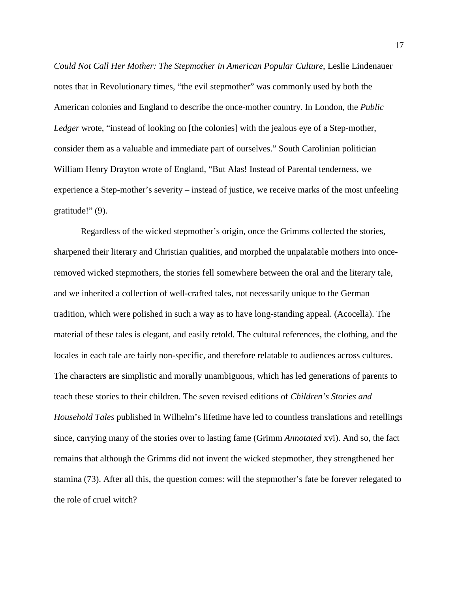*Could Not Call Her Mother: The Stepmother in American Popular Culture*, Leslie Lindenauer notes that in Revolutionary times, "the evil stepmother" was commonly used by both the American colonies and England to describe the once-mother country. In London, the *Public*  Ledger wrote, "instead of looking on [the colonies] with the jealous eye of a Step-mother, consider them as a valuable and immediate part of ourselves." South Carolinian politician William Henry Drayton wrote of England, "But Alas! Instead of Parental tenderness, we experience a Step-mother's severity – instead of justice, we receive marks of the most unfeeling gratitude!" (9).

Regardless of the wicked stepmother's origin, once the Grimms collected the stories, sharpened their literary and Christian qualities, and morphed the unpalatable mothers into onceremoved wicked stepmothers, the stories fell somewhere between the oral and the literary tale, and we inherited a collection of well-crafted tales, not necessarily unique to the German tradition, which were polished in such a way as to have long-standing appeal. (Acocella). The material of these tales is elegant, and easily retold. The cultural references, the clothing, and the locales in each tale are fairly non-specific, and therefore relatable to audiences across cultures. The characters are simplistic and morally unambiguous, which has led generations of parents to teach these stories to their children. The seven revised editions of *Children's Stories and Household Tales* published in Wilhelm's lifetime have led to countless translations and retellings since, carrying many of the stories over to lasting fame (Grimm *Annotated* xvi). And so, the fact remains that although the Grimms did not invent the wicked stepmother, they strengthened her stamina (73). After all this, the question comes: will the stepmother's fate be forever relegated to the role of cruel witch?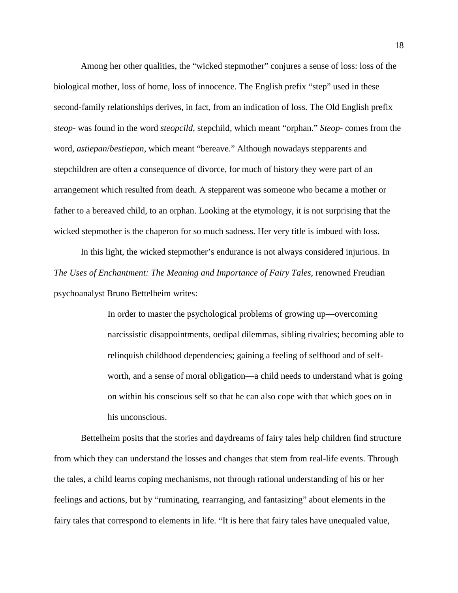Among her other qualities, the "wicked stepmother" conjures a sense of loss: loss of the biological mother, loss of home, loss of innocence. The English prefix "step" used in these second-family relationships derives, in fact, from an indication of loss. The Old English prefix *steop-* was found in the word *steopcild*, stepchild, which meant "orphan." *Steop*- comes from the word, *astiepan*/*bestiepan*, which meant "bereave." Although nowadays stepparents and stepchildren are often a consequence of divorce, for much of history they were part of an arrangement which resulted from death. A stepparent was someone who became a mother or father to a bereaved child, to an orphan. Looking at the etymology, it is not surprising that the wicked stepmother is the chaperon for so much sadness. Her very title is imbued with loss.

In this light, the wicked stepmother's endurance is not always considered injurious. In *The Uses of Enchantment: The Meaning and Importance of Fairy Tales*, renowned Freudian psychoanalyst Bruno Bettelheim writes:

> In order to master the psychological problems of growing up—overcoming narcissistic disappointments, oedipal dilemmas, sibling rivalries; becoming able to relinquish childhood dependencies; gaining a feeling of selfhood and of selfworth, and a sense of moral obligation—a child needs to understand what is going on within his conscious self so that he can also cope with that which goes on in his unconscious.

Bettelheim posits that the stories and daydreams of fairy tales help children find structure from which they can understand the losses and changes that stem from real-life events. Through the tales, a child learns coping mechanisms, not through rational understanding of his or her feelings and actions, but by "ruminating, rearranging, and fantasizing" about elements in the fairy tales that correspond to elements in life. "It is here that fairy tales have unequaled value,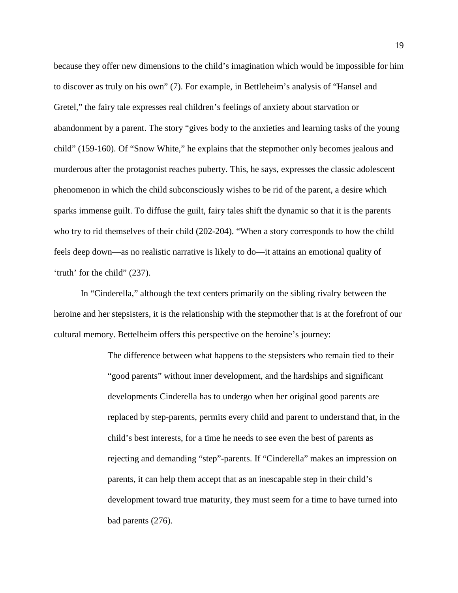because they offer new dimensions to the child's imagination which would be impossible for him to discover as truly on his own" (7). For example, in Bettleheim's analysis of "Hansel and Gretel," the fairy tale expresses real children's feelings of anxiety about starvation or abandonment by a parent. The story "gives body to the anxieties and learning tasks of the young child" (159-160). Of "Snow White," he explains that the stepmother only becomes jealous and murderous after the protagonist reaches puberty. This, he says, expresses the classic adolescent phenomenon in which the child subconsciously wishes to be rid of the parent, a desire which sparks immense guilt. To diffuse the guilt, fairy tales shift the dynamic so that it is the parents who try to rid themselves of their child (202-204). "When a story corresponds to how the child feels deep down—as no realistic narrative is likely to do—it attains an emotional quality of 'truth' for the child" (237).

In "Cinderella," although the text centers primarily on the sibling rivalry between the heroine and her stepsisters, it is the relationship with the stepmother that is at the forefront of our cultural memory. Bettelheim offers this perspective on the heroine's journey:

> The difference between what happens to the stepsisters who remain tied to their "good parents" without inner development, and the hardships and significant developments Cinderella has to undergo when her original good parents are replaced by step-parents, permits every child and parent to understand that, in the child's best interests, for a time he needs to see even the best of parents as rejecting and demanding "step"-parents. If "Cinderella" makes an impression on parents, it can help them accept that as an inescapable step in their child's development toward true maturity, they must seem for a time to have turned into bad parents (276).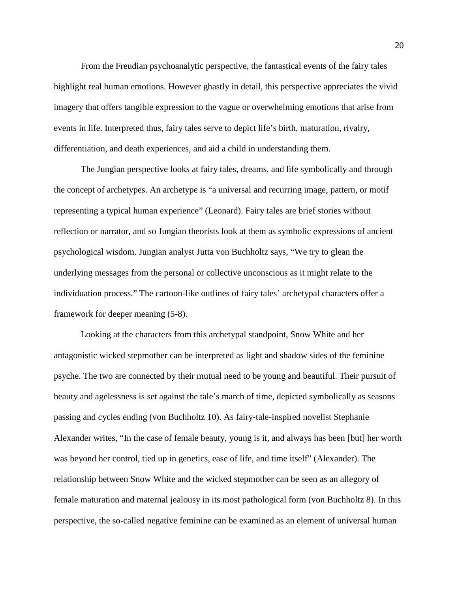From the Freudian psychoanalytic perspective, the fantastical events of the fairy tales highlight real human emotions. However ghastly in detail, this perspective appreciates the vivid imagery that offers tangible expression to the vague or overwhelming emotions that arise from events in life. Interpreted thus, fairy tales serve to depict life's birth, maturation, rivalry, differentiation, and death experiences, and aid a child in understanding them.

The Jungian perspective looks at fairy tales, dreams, and life symbolically and through the concept of archetypes. An archetype is "a universal and recurring image, pattern, or motif representing a typical human experience" (Leonard). Fairy tales are brief stories without reflection or narrator, and so Jungian theorists look at them as symbolic expressions of ancient psychological wisdom. Jungian analyst Jutta von Buchholtz says, "We try to glean the underlying messages from the personal or collective unconscious as it might relate to the individuation process." The cartoon-like outlines of fairy tales' archetypal characters offer a framework for deeper meaning (5-8).

Looking at the characters from this archetypal standpoint, Snow White and her antagonistic wicked stepmother can be interpreted as light and shadow sides of the feminine psyche. The two are connected by their mutual need to be young and beautiful. Their pursuit of beauty and agelessness is set against the tale's march of time, depicted symbolically as seasons passing and cycles ending (von Buchholtz 10). As fairy-tale-inspired novelist Stephanie Alexander writes, "In the case of female beauty, young is it, and always has been [but] her worth was beyond her control, tied up in genetics, ease of life, and time itself" (Alexander). The relationship between Snow White and the wicked stepmother can be seen as an allegory of female maturation and maternal jealousy in its most pathological form (von Buchholtz 8). In this perspective, the so-called negative feminine can be examined as an element of universal human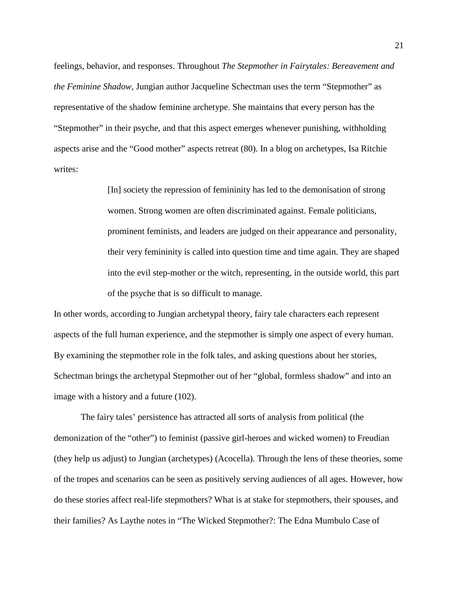feelings, behavior, and responses. Throughout *The Stepmother in Fairytales: Bereavement and the Feminine Shadow,* Jungian author Jacqueline Schectman uses the term "Stepmother" as representative of the shadow feminine archetype. She maintains that every person has the "Stepmother" in their psyche, and that this aspect emerges whenever punishing, withholding aspects arise and the "Good mother" aspects retreat (80). In a blog on archetypes, Isa Ritchie writes:

> [In] society the repression of femininity has led to the demonisation of strong women. Strong women are often discriminated against. Female politicians, prominent feminists, and leaders are judged on their appearance and personality, their very femininity is called into question time and time again. They are shaped into the evil step-mother or the witch, representing, in the outside world, this part of the psyche that is so difficult to manage.

In other words, according to Jungian archetypal theory, fairy tale characters each represent aspects of the full human experience, and the stepmother is simply one aspect of every human. By examining the stepmother role in the folk tales, and asking questions about her stories, Schectman brings the archetypal Stepmother out of her "global, formless shadow" and into an image with a history and a future (102).

The fairy tales' persistence has attracted all sorts of analysis from political (the demonization of the "other") to feminist (passive girl-heroes and wicked women) to Freudian (they help us adjust) to Jungian (archetypes) (Acocella). Through the lens of these theories, some of the tropes and scenarios can be seen as positively serving audiences of all ages. However, how do these stories affect real-life stepmothers? What is at stake for stepmothers, their spouses, and their families? As Laythe notes in "The Wicked Stepmother?: The Edna Mumbulo Case of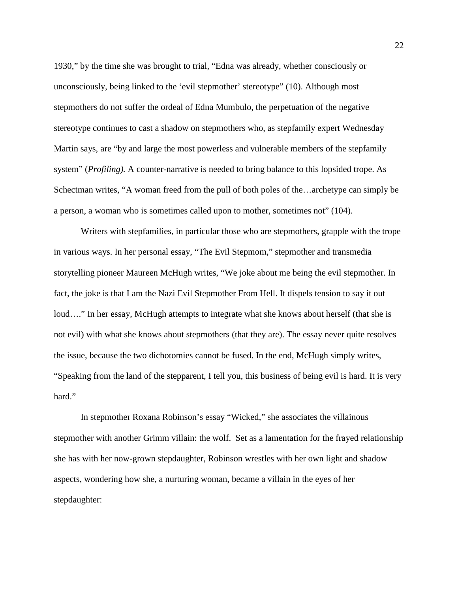1930," by the time she was brought to trial, "Edna was already, whether consciously or unconsciously, being linked to the 'evil stepmother' stereotype" (10). Although most stepmothers do not suffer the ordeal of Edna Mumbulo, the perpetuation of the negative stereotype continues to cast a shadow on stepmothers who, as stepfamily expert Wednesday Martin says, [are "by and large the most powerless and vulnerable members of the stepfamily](http://http/www.psychologytoday.com/blog/stepmonster/200911/what-makes-stepmothering-feminist-issue)  [system"](http://http/www.psychologytoday.com/blog/stepmonster/200911/what-makes-stepmothering-feminist-issue) (*Profiling).* A counter-narrative is needed to bring balance to this lopsided trope. As Schectman writes, "A woman freed from the pull of both poles of the…archetype can simply be a person, a woman who is sometimes called upon to mother, sometimes not" (104).

Writers with stepfamilies, in particular those who are stepmothers, grapple with the trope in various ways. In her personal essay, "The Evil Stepmom," stepmother and transmedia storytelling pioneer Maureen McHugh writes, "We joke about me being the evil stepmother. In fact, the joke is that I am the Nazi Evil Stepmother From Hell. It dispels tension to say it out loud...." In her essay, McHugh attempts to integrate what she knows about herself (that she is not evil) with what she knows about stepmothers (that they are). The essay never quite resolves the issue, because the two dichotomies cannot be fused. In the end, McHugh simply writes, "Speaking from the land of the stepparent, I tell you, this business of being evil is hard. It is very hard."

In stepmother Roxana Robinson's essay "Wicked," she associates the villainous stepmother with another Grimm villain: the wolf. Set as a lamentation for the frayed relationship she has with her now-grown stepdaughter, Robinson wrestles with her own light and shadow aspects, wondering how she, a nurturing woman, became a villain in the eyes of her stepdaughter: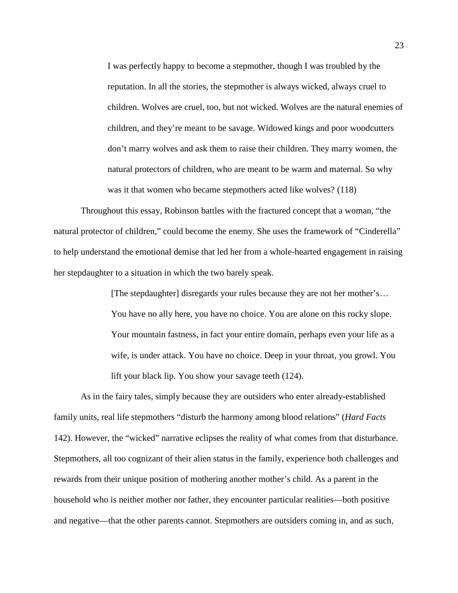I was perfectly happy to become a stepmother, though I was troubled by the reputation. In all the stories, the stepmother is always wicked, always cruel to children. Wolves are cruel, too, but not wicked. Wolves are the natural enemies of children, and they're meant to be savage. Widowed kings and poor woodcutters don't marry wolves and ask them to raise their children. They marry women, the natural protectors of children, who are meant to be warm and maternal. So why was it that women who became stepmothers acted like wolves? (118)

Throughout this essay, Robinson battles with the fractured concept that a woman, "the natural protector of children," could become the enemy. She uses the framework of "Cinderella" to help understand the emotional demise that led her from a whole-hearted engagement in raising her stepdaughter to a situation in which the two barely speak.

> [The stepdaughter] disregards your rules because they are not her mother's… You have no ally here, you have no choice. You are alone on this rocky slope. Your mountain fastness, in fact your entire domain, perhaps even your life as a wife, is under attack. You have no choice. Deep in your throat, you growl. You lift your black lip. You show your savage teeth (124).

As in the fairy tales, simply because they are outsiders who enter already-established family units, real life stepmothers "disturb the harmony among blood relations" (*Hard Facts*  142). However, the "wicked" narrative eclipses the reality of what comes from that disturbance. Stepmothers, all too cognizant of their alien status in the family, experience both challenges and rewards from their unique position of mothering another mother's child. As a parent in the household who is neither mother nor father, they encounter particular realities—both positive and negative—that the other parents cannot. Stepmothers are outsiders coming in, and as such,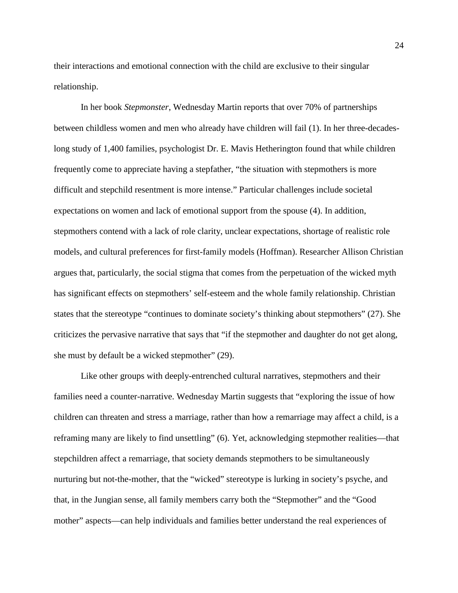their interactions and emotional connection with the child are exclusive to their singular relationship.

In her book *Stepmonster*, Wednesday Martin reports that over 70% of partnerships between childless women and men who already have children will fail (1). In her three-decadeslong study of 1,400 families, psychologist Dr. E. Mavis Hetherington found that while children frequently come to appreciate having a stepfather, "the situation with stepmothers is more difficult and stepchild resentment is more intense." Particular challenges include societal expectations on women and lack of emotional support from the spouse (4). In addition, stepmothers contend with a lack of role clarity, unclear expectations, shortage of realistic role models, and cultural preferences for first-family models (Hoffman). Researcher Allison Christian argues that, particularly, the social stigma that comes from the perpetuation of the wicked myth has significant effects on stepmothers' self-esteem and the whole family relationship. Christian states that the stereotype "continues to dominate society's thinking about stepmothers" (27). She criticizes the pervasive narrative that says that "if the stepmother and daughter do not get along, she must by default be a wicked stepmother" (29).

Like other groups with deeply-entrenched cultural narratives, stepmothers and their families need a counter-narrative. Wednesday Martin suggests that "exploring the issue of how children can threaten and stress a marriage, rather than how a remarriage may affect a child, is a reframing many are likely to find unsettling" (6). Yet, acknowledging stepmother realities—that stepchildren affect a remarriage, that society demands stepmothers to be simultaneously nurturing but not-the-mother, that the "wicked" stereotype is lurking in society's psyche, and that, in the Jungian sense, all family members carry both the "Stepmother" and the "Good mother" aspects—can help individuals and families better understand the real experiences of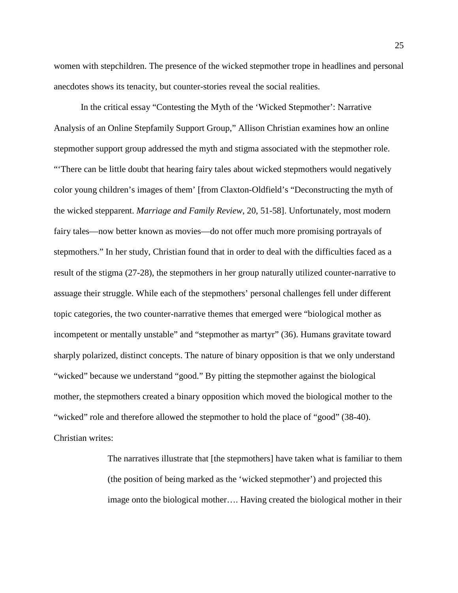women with stepchildren. The presence of the wicked stepmother trope in headlines and personal anecdotes shows its tenacity, but counter-stories reveal the social realities.

In the critical essay "Contesting the Myth of the 'Wicked Stepmother': Narrative Analysis of an Online Stepfamily Support Group," Allison Christian examines how an online stepmother support group addressed the myth and stigma associated with the stepmother role. "'There can be little doubt that hearing fairy tales about wicked stepmothers would negatively color young children's images of them' [from Claxton-Oldfield's "Deconstructing the myth of the wicked stepparent. *Marriage and Family Review*, 20, 51-58]. Unfortunately, most modern fairy tales—now better known as movies—do not offer much more promising portrayals of stepmothers." In her study, Christian found that in order to deal with the difficulties faced as a result of the stigma (27-28), the stepmothers in her group naturally utilized counter-narrative to assuage their struggle. While each of the stepmothers' personal challenges fell under different topic categories, the two counter-narrative themes that emerged were "biological mother as incompetent or mentally unstable" and "stepmother as martyr" (36). Humans gravitate toward sharply polarized, distinct concepts. The nature of binary opposition is that we only understand "wicked" because we understand "good." By pitting the stepmother against the biological mother, the stepmothers created a binary opposition which moved the biological mother to the "wicked" role and therefore allowed the stepmother to hold the place of "good" (38-40). Christian writes:

> The narratives illustrate that [the stepmothers] have taken what is familiar to them (the position of being marked as the 'wicked stepmother') and projected this image onto the biological mother…. Having created the biological mother in their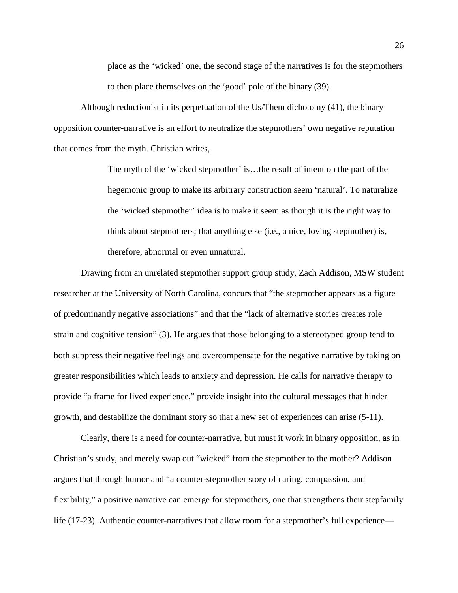place as the 'wicked' one, the second stage of the narratives is for the stepmothers to then place themselves on the 'good' pole of the binary (39).

Although reductionist in its perpetuation of the Us/Them dichotomy (41), the binary opposition counter-narrative is an effort to neutralize the stepmothers' own negative reputation that comes from the myth. Christian writes,

> The myth of the 'wicked stepmother' is…the result of intent on the part of the hegemonic group to make its arbitrary construction seem 'natural'. To naturalize the 'wicked stepmother' idea is to make it seem as though it is the right way to think about stepmothers; that anything else (i.e., a nice, loving stepmother) is, therefore, abnormal or even unnatural.

Drawing from an unrelated stepmother support group study, Zach Addison, MSW student researcher at the University of North Carolina, concurs that "the stepmother appears as a figure of predominantly negative associations" and that the "lack of alternative stories creates role strain and cognitive tension" (3). He argues that those belonging to a stereotyped group tend to both suppress their negative feelings and overcompensate for the negative narrative by taking on greater responsibilities which leads to anxiety and depression. He calls for narrative therapy to provide "a frame for lived experience," provide insight into the cultural messages that hinder growth, and destabilize the dominant story so that a new set of experiences can arise (5-11).

Clearly, there is a need for counter-narrative, but must it work in binary opposition, as in Christian's study, and merely swap out "wicked" from the stepmother to the mother? Addison argues that through humor and "a counter-stepmother story of caring, compassion, and flexibility," a positive narrative can emerge for stepmothers, one that strengthens their stepfamily life (17-23). Authentic counter-narratives that allow room for a stepmother's full experience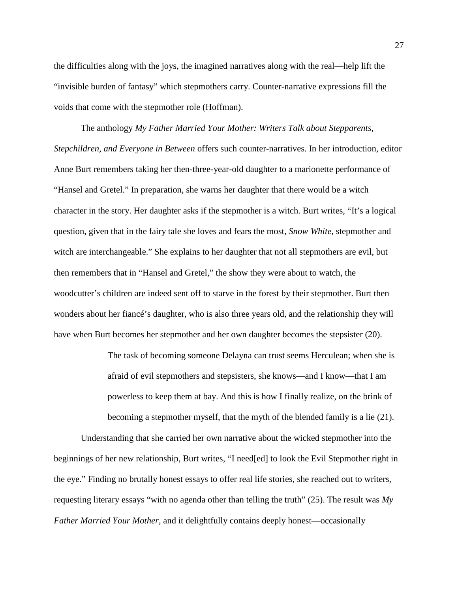the difficulties along with the joys, the imagined narratives along with the real—help lift the "invisible burden of fantasy" which stepmothers carry. Counter-narrative expressions fill the voids that come with the stepmother role (Hoffman).

The anthology *My Father Married Your Mother: Writers Talk about Stepparents, Stepchildren, and Everyone in Between* offers such counter-narratives. In her introduction, editor Anne Burt remembers taking her then-three-year-old daughter to a marionette performance of "Hansel and Gretel." In preparation, she warns her daughter that there would be a witch character in the story. Her daughter asks if the stepmother is a witch. Burt writes, "It's a logical question, given that in the fairy tale she loves and fears the most, *Snow White*, stepmother and witch are interchangeable." She explains to her daughter that not all stepmothers are evil, but then remembers that in "Hansel and Gretel," the show they were about to watch, the woodcutter's children are indeed sent off to starve in the forest by their stepmother. Burt then wonders about her fiancé's daughter, who is also three years old, and the relationship they will have when Burt becomes her stepmother and her own daughter becomes the stepsister (20).

> The task of becoming someone Delayna can trust seems Herculean; when she is afraid of evil stepmothers and stepsisters, she knows—and I know—that I am powerless to keep them at bay. And this is how I finally realize, on the brink of becoming a stepmother myself, that the myth of the blended family is a lie (21).

Understanding that she carried her own narrative about the wicked stepmother into the beginnings of her new relationship, Burt writes, "I need[ed] to look the Evil Stepmother right in the eye." Finding no brutally honest essays to offer real life stories, she reached out to writers, requesting literary essays "with no agenda other than telling the truth" (25). The result was *My Father Married Your Mother*, and it delightfully contains deeply honest—occasionally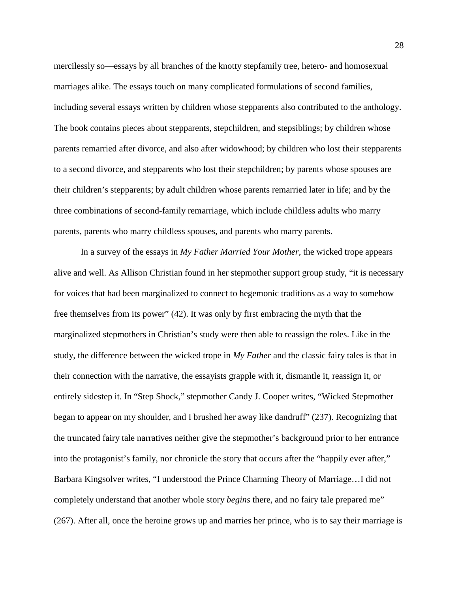mercilessly so—essays by all branches of the knotty stepfamily tree, hetero- and homosexual marriages alike. The essays touch on many complicated formulations of second families, including several essays written by children whose stepparents also contributed to the anthology. The book contains pieces about stepparents, stepchildren, and stepsiblings; by children whose parents remarried after divorce, and also after widowhood; by children who lost their stepparents to a second divorce, and stepparents who lost their stepchildren; by parents whose spouses are their children's stepparents; by adult children whose parents remarried later in life; and by the three combinations of second-family remarriage, which include childless adults who marry parents, parents who marry childless spouses, and parents who marry parents.

In a survey of the essays in *My Father Married Your Mother*, the wicked trope appears alive and well. As Allison Christian found in her stepmother support group study, "it is necessary for voices that had been marginalized to connect to hegemonic traditions as a way to somehow free themselves from its power" (42). It was only by first embracing the myth that the marginalized stepmothers in Christian's study were then able to reassign the roles. Like in the study, the difference between the wicked trope in *My Father* and the classic fairy tales is that in their connection with the narrative, the essayists grapple with it, dismantle it, reassign it, or entirely sidestep it. In "Step Shock," stepmother Candy J. Cooper writes, "Wicked Stepmother began to appear on my shoulder, and I brushed her away like dandruff" (237). Recognizing that the truncated fairy tale narratives neither give the stepmother's background prior to her entrance into the protagonist's family, nor chronicle the story that occurs after the "happily ever after," Barbara Kingsolver writes, "I understood the Prince Charming Theory of Marriage…I did not completely understand that another whole story *begins* there, and no fairy tale prepared me" (267). After all, once the heroine grows up and marries her prince, who is to say their marriage is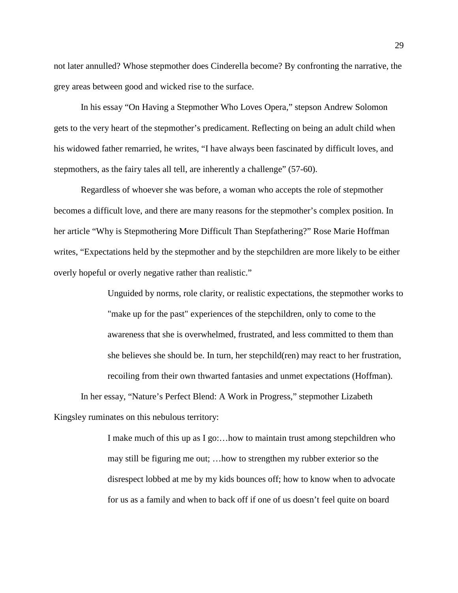not later annulled? Whose stepmother does Cinderella become? By confronting the narrative, the grey areas between good and wicked rise to the surface.

In his essay "On Having a Stepmother Who Loves Opera," stepson Andrew Solomon gets to the very heart of the stepmother's predicament. Reflecting on being an adult child when his widowed father remarried, he writes, "I have always been fascinated by difficult loves, and stepmothers, as the fairy tales all tell, are inherently a challenge" (57-60).

Regardless of whoever she was before, a woman who accepts the role of stepmother becomes a difficult love, and there are many reasons for the stepmother's complex position. In her article "Why is Stepmothering More Difficult Than Stepfathering?" Rose Marie Hoffman writes, "Expectations held by the stepmother and by the stepchildren are more likely to be either overly hopeful or overly negative rather than realistic."

> Unguided by norms, role clarity, or realistic expectations, the stepmother works to "make up for the past" experiences of the stepchildren, only to come to the awareness that she is overwhelmed, frustrated, and less committed to them than she believes she should be. In turn, her stepchild(ren) may react to her frustration, recoiling from their own thwarted fantasies and unmet expectations (Hoffman).

In her essay, "Nature's Perfect Blend: A Work in Progress," stepmother Lizabeth Kingsley ruminates on this nebulous territory:

> I make much of this up as I go:…how to maintain trust among stepchildren who may still be figuring me out; …how to strengthen my rubber exterior so the disrespect lobbed at me by my kids bounces off; how to know when to advocate for us as a family and when to back off if one of us doesn't feel quite on board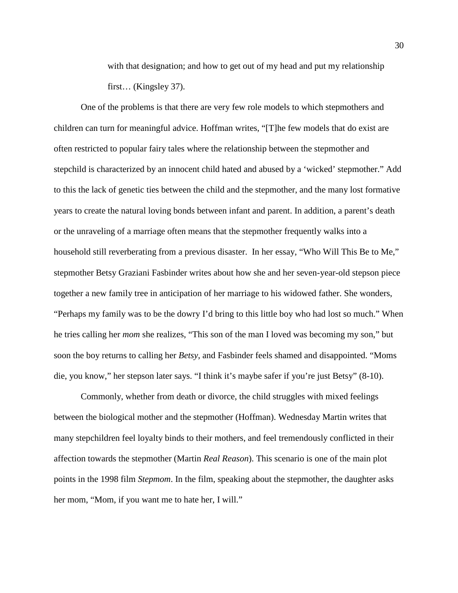with that designation; and how to get out of my head and put my relationship first… (Kingsley 37).

One of the problems is that there are very few role models to which stepmothers and children can turn for meaningful advice. Hoffman writes, "[T]he few models that do exist are often restricted to popular fairy tales where the relationship between the stepmother and stepchild is characterized by an innocent child hated and abused by a 'wicked' stepmother." Add to this the lack of genetic ties between the child and the stepmother, and the many lost formative years to create the natural loving bonds between infant and parent. In addition, a parent's death or the unraveling of a marriage often means that the stepmother frequently walks into a household still reverberating from a previous disaster. In her essay, "Who Will This Be to Me," stepmother Betsy Graziani Fasbinder writes about how she and her seven-year-old stepson piece together a new family tree in anticipation of her marriage to his widowed father. She wonders, "Perhaps my family was to be the dowry I'd bring to this little boy who had lost so much." When he tries calling her *mom* she realizes, "This son of the man I loved was becoming my son," but soon the boy returns to calling her *Betsy*, and Fasbinder feels shamed and disappointed. "Moms die, you know," her stepson later says. "I think it's maybe safer if you're just Betsy" (8-10).

Commonly, whether from death or divorce, the child struggles with mixed feelings between the biological mother and the stepmother (Hoffman). Wednesday Martin writes that many stepchildren feel loyalty binds to their mothers, and feel tremendously conflicted in their affection towards the stepmother (Martin *Real Reason*). This scenario is one of the main plot points in the 1998 film *Stepmom*. In the film, speaking about the stepmother, the daughter asks her mom, "Mom, if you want me to hate her, I will."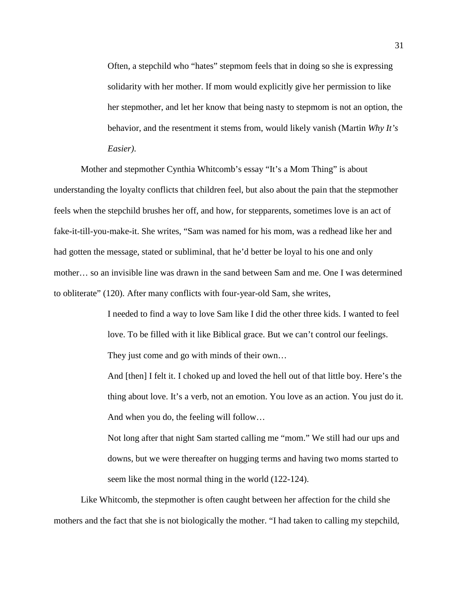Often, a stepchild who "hates" stepmom feels that in doing so she is expressing solidarity with her mother. If mom would explicitly give her permission to like her stepmother, and let her know that being nasty to stepmom is not an option, the behavior, and the resentment it stems from, would likely vanish (Martin *Why It's Easier)*.

Mother and stepmother Cynthia Whitcomb's essay "It's a Mom Thing" is about understanding the loyalty conflicts that children feel, but also about the pain that the stepmother feels when the stepchild brushes her off, and how, for stepparents, sometimes love is an act of fake-it-till-you-make-it. She writes, "Sam was named for his mom, was a redhead like her and had gotten the message, stated or subliminal, that he'd better be loyal to his one and only mother… so an invisible line was drawn in the sand between Sam and me. One I was determined to obliterate" (120). After many conflicts with four-year-old Sam, she writes,

> I needed to find a way to love Sam like I did the other three kids. I wanted to feel love. To be filled with it like Biblical grace. But we can't control our feelings. They just come and go with minds of their own…

And [then] I felt it. I choked up and loved the hell out of that little boy. Here's the thing about love. It's a verb, not an emotion. You love as an action. You just do it. And when you do, the feeling will follow…

Not long after that night Sam started calling me "mom." We still had our ups and downs, but we were thereafter on hugging terms and having two moms started to seem like the most normal thing in the world (122-124).

Like Whitcomb, the stepmother is often caught between her affection for the child she mothers and the fact that she is not biologically the mother. "I had taken to calling my stepchild,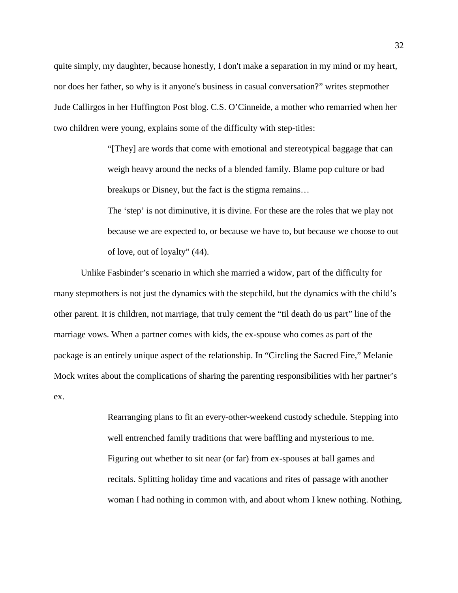quite simply, my daughter, because honestly, I don't make a separation in my mind or my heart, nor does her father, so why is it anyone's business in casual conversation?" writes stepmother Jude Callirgos in her Huffington Post blog. C.S. O'Cinneide, a mother who remarried when her two children were young, explains some of the difficulty with step-titles:

> "[They] are words that come with emotional and stereotypical baggage that can weigh heavy around the necks of a blended family. Blame pop culture or bad breakups or Disney, but the fact is the stigma remains…

The 'step' is not diminutive, it is divine. For these are the roles that we play not because we are expected to, or because we have to, but because we choose to out of love, out of loyalty" (44).

Unlike Fasbinder's scenario in which she married a widow, part of the difficulty for many stepmothers is not just the dynamics with the stepchild, but the dynamics with the child's other parent. It is children, not marriage, that truly cement the "til death do us part" line of the marriage vows. When a partner comes with kids, the ex-spouse who comes as part of the package is an entirely unique aspect of the relationship. In "Circling the Sacred Fire," Melanie Mock writes about the complications of sharing the parenting responsibilities with her partner's ex.

> Rearranging plans to fit an every-other-weekend custody schedule. Stepping into well entrenched family traditions that were baffling and mysterious to me. Figuring out whether to sit near (or far) from ex-spouses at ball games and recitals. Splitting holiday time and vacations and rites of passage with another woman I had nothing in common with, and about whom I knew nothing. Nothing,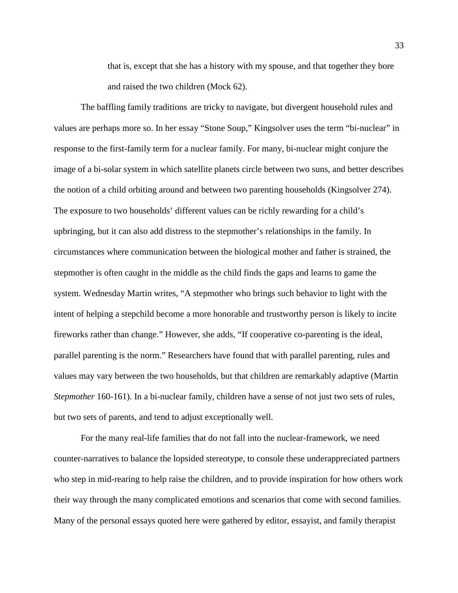that is, except that she has a history with my spouse, and that together they bore and raised the two children (Mock 62).

The baffling family traditions are tricky to navigate, but divergent household rules and values are perhaps more so. In her essay "Stone Soup," Kingsolver uses the term "bi-nuclear" in response to the first-family term for a nuclear family. For many, bi-nuclear might conjure the image of a bi-solar system in which satellite planets circle between two suns, and better describes the notion of a child orbiting around and between two parenting households (Kingsolver 274). The exposure to two households' different values can be richly rewarding for a child's upbringing, but it can also add distress to the stepmother's relationships in the family. In circumstances where communication between the biological mother and father is strained, the stepmother is often caught in the middle as the child finds the gaps and learns to game the system. Wednesday Martin writes, "A stepmother who brings such behavior to light with the intent of helping a stepchild become a more honorable and trustworthy person is likely to incite fireworks rather than change." However, she adds, "If cooperative co-parenting is the ideal, parallel parenting is the norm." Researchers have found that with parallel parenting, rules and values may vary between the two households, but that children are remarkably adaptive (Martin *Stepmother* 160-161). In a bi-nuclear family, children have a sense of not just two sets of rules, but two sets of parents, and tend to adjust exceptionally well.

For the many real-life families that do not fall into the nuclear-framework, we need counter-narratives to balance the lopsided stereotype, to console these underappreciated partners who step in mid-rearing to help raise the children, and to provide inspiration for how others work their way through the many complicated emotions and scenarios that come with second families. Many of the personal essays quoted here were gathered by editor, essayist, and family therapist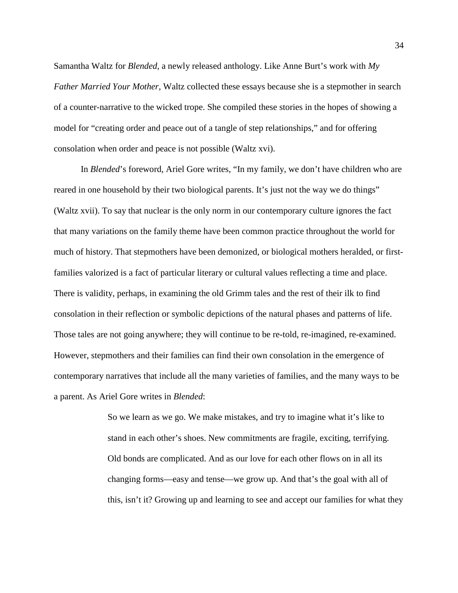Samantha Waltz for *Blended,* a newly released anthology. Like Anne Burt's work with *My Father Married Your Mother,* Waltz collected these essays because she is a stepmother in search of a counter-narrative to the wicked trope. She compiled these stories in the hopes of showing a model for "creating order and peace out of a tangle of step relationships," and for offering consolation when order and peace is not possible (Waltz xvi).

In *Blended*'s foreword, Ariel Gore writes, "In my family, we don't have children who are reared in one household by their two biological parents. It's just not the way we do things" (Waltz xvii). To say that nuclear is the only norm in our contemporary culture ignores the fact that many variations on the family theme have been common practice throughout the world for much of history. That stepmothers have been demonized, or biological mothers heralded, or firstfamilies valorized is a fact of particular literary or cultural values reflecting a time and place. There is validity, perhaps, in examining the old Grimm tales and the rest of their ilk to find consolation in their reflection or symbolic depictions of the natural phases and patterns of life. Those tales are not going anywhere; they will continue to be re-told, re-imagined, re-examined. However, stepmothers and their families can find their own consolation in the emergence of contemporary narratives that include all the many varieties of families, and the many ways to be a parent. As Ariel Gore writes in *Blended*:

> So we learn as we go. We make mistakes, and try to imagine what it's like to stand in each other's shoes. New commitments are fragile, exciting, terrifying. Old bonds are complicated. And as our love for each other flows on in all its changing forms—easy and tense—we grow up. And that's the goal with all of this, isn't it? Growing up and learning to see and accept our families for what they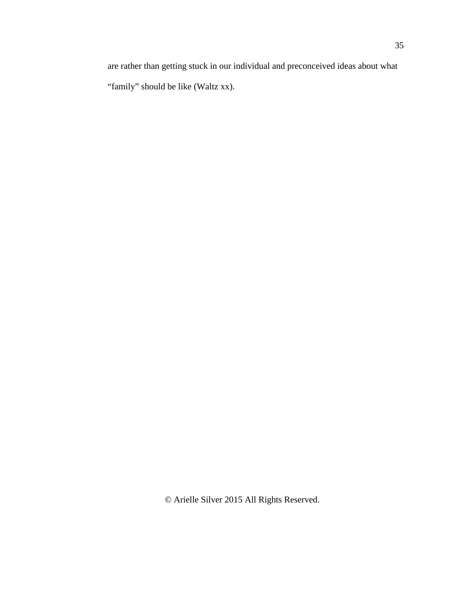are rather than getting stuck in our individual and preconceived ideas about what "family" should be like (Waltz xx).

© Arielle Silver 2015 All Rights Reserved.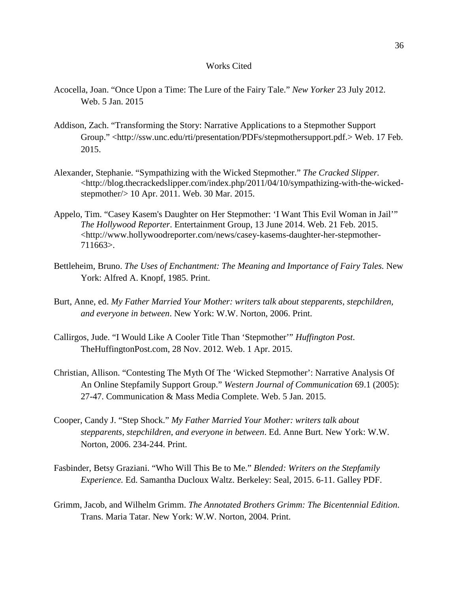## Works Cited

- Acocella, Joan. "Once Upon a Time: The Lure of the Fairy Tale." *New Yorker* 23 July 2012. Web. 5 Jan. 2015
- Addison, Zach. "Transforming the Story: Narrative Applications to a Stepmother Support Group." [<http://ssw.unc.edu/rti/presentation/PDFs/stepmothersupport.pdf.](http://ssw.unc.edu/rti/presentation/PDFs/stepmothersupport.pdf)> Web. 17 Feb. 2015.
- Alexander, Stephanie. "Sympathizing with the Wicked Stepmother." *The Cracked Slipper.*  [<http://blog.thecrackedslipper.com/index.php/2011/04/10/sympathizing-with-the-wicked](http://blog.thecrackedslipper.com/index.php/2011/04/10/sympathizing-with-the-wicked-stepmother/)[stepmother/>](http://blog.thecrackedslipper.com/index.php/2011/04/10/sympathizing-with-the-wicked-stepmother/) 10 Apr. 2011. Web. 30 Mar. 2015.
- Appelo, Tim. "Casey Kasem's Daughter on Her Stepmother: 'I Want This Evil Woman in Jail'" *The Hollywood Reporter*. Entertainment Group, 13 June 2014. Web. 21 Feb. 2015. <http://www.hollywoodreporter.com/news/casey-kasems-daughter-her-stepmother-711663>.
- Bettleheim, Bruno. *The Uses of Enchantment: The Meaning and Importance of Fairy Tales.* New York: Alfred A. Knopf, 1985. Print.
- Burt, Anne, ed. *My Father Married Your Mother: writers talk about stepparents, stepchildren, and everyone in between*. New York: W.W. Norton, 2006. Print.
- Callirgos, Jude. "I Would Like A Cooler Title Than 'Stepmother'" *Huffington Post*. TheHuffingtonPost.com, 28 Nov. 2012. Web. 1 Apr. 2015.
- Christian, Allison. "Contesting The Myth Of The 'Wicked Stepmother': Narrative Analysis Of An Online Stepfamily Support Group." *Western Journal of Communication* 69.1 (2005): 27-47. Communication & Mass Media Complete. Web. 5 Jan. 2015.
- Cooper, Candy J. "Step Shock." *My Father Married Your Mother: writers talk about stepparents, stepchildren, and everyone in between*. Ed. Anne Burt. New York: W.W. Norton, 2006. 234-244. Print.
- Fasbinder, Betsy Graziani. "Who Will This Be to Me." *Blended: Writers on the Stepfamily Experience.* Ed. Samantha Ducloux Waltz. Berkeley: Seal, 2015. 6-11. Galley PDF.
- Grimm, Jacob, and Wilhelm Grimm. *The Annotated Brothers Grimm: The Bicentennial Edition*. Trans. Maria Tatar. New York: W.W. Norton, 2004. Print.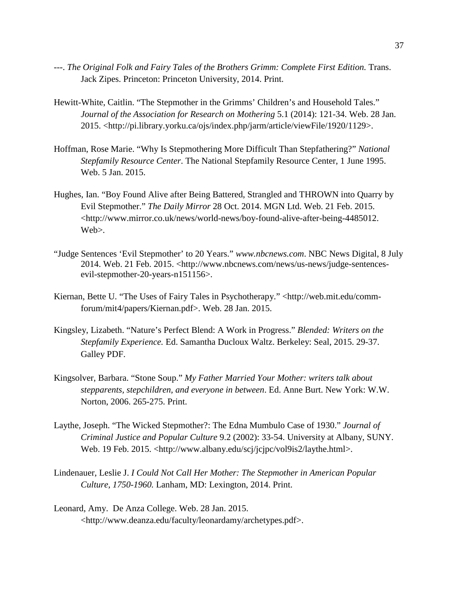- ---. *The Original Folk and Fairy Tales of the Brothers Grimm: Complete First Edition.* Trans. Jack Zipes. Princeton: Princeton University, 2014. Print.
- Hewitt-White, Caitlin. "The Stepmother in the Grimms' Children's and Household Tales." *Journal of the Association for Research on Mothering* 5.1 (2014): 121-34. Web. 28 Jan. 2015. [<http://pi.library.yorku.ca/ojs/index.php/jarm/article/viewFile/1920/1129>](http://pi.library.yorku.ca/ojs/index.php/jarm/article/viewFile/1920/1129).
- Hoffman, Rose Marie. "Why Is Stepmothering More Difficult Than Stepfathering?" *National Stepfamily Resource Center*. The National Stepfamily Resource Center, 1 June 1995. Web. 5 Jan. 2015.
- Hughes, Ian. "Boy Found Alive after Being Battered, Strangled and THROWN into Quarry by Evil Stepmother." *The Daily Mirror* 28 Oct. 2014. MGN Ltd. Web. 21 Feb. 2015. <http://www.mirror.co.uk/news/world-news/boy-found-alive-after-being-4485012. Web>.
- "Judge Sentences 'Evil Stepmother' to 20 Years." *www.nbcnews.com*. NBC News Digital, 8 July 2014. Web. 21 Feb. 2015. <http://www.nbcnews.com/news/us-news/judge-sentencesevil-stepmother-20-years-n151156>.
- Kiernan, Bette U. "The Uses of Fairy Tales in Psychotherapy." [<http://web.mit.edu/comm](http://web.mit.edu/comm-forum/mit4/papers/Kiernan.pdf)[forum/mit4/papers/Kiernan.pdf>](http://web.mit.edu/comm-forum/mit4/papers/Kiernan.pdf). Web. 28 Jan. 2015.
- Kingsley, Lizabeth. "Nature's Perfect Blend: A Work in Progress." *Blended: Writers on the Stepfamily Experience.* Ed. Samantha Ducloux Waltz. Berkeley: Seal, 2015. 29-37. Galley PDF.
- Kingsolver, Barbara. "Stone Soup." *My Father Married Your Mother: writers talk about stepparents, stepchildren, and everyone in between*. Ed. Anne Burt. New York: W.W. Norton, 2006. 265-275. Print.
- Laythe, Joseph. "The Wicked Stepmother?: The Edna Mumbulo Case of 1930." *Journal of Criminal Justice and Popular Culture* 9.2 (2002): 33-54. University at Albany, SUNY. Web. 19 Feb. 2015. <http://www.albany.edu/scj/jcjpc/vol9is2/laythe.html>.
- Lindenauer, Leslie J. *I Could Not Call Her Mother: The Stepmother in American Popular Culture, 1750-1960.* Lanham, MD: Lexington, 2014. Print.
- Leonard, Amy. De Anza College. Web. 28 Jan. 2015. <http://www.deanza.edu/faculty/leonardamy/archetypes.pdf>.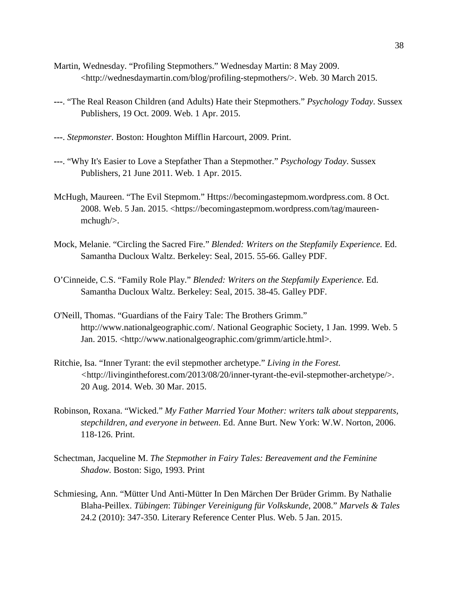- Martin, Wednesday. "Profiling Stepmothers." Wednesday Martin: 8 May 2009. [<http://wednesdaymartin.com/blog/profiling-stepmothers/>](http://wednesdaymartin.com/blog/profiling-stepmothers/). Web. 30 March 2015.
- **---**. "The Real Reason Children (and Adults) Hate their Stepmothers." *Psychology Today*. Sussex Publishers, 19 Oct. 2009. Web. 1 Apr. 2015.
- **---**. *Stepmonster.* Boston: Houghton Mifflin Harcourt, 2009. Print.
- **---**. "Why It's Easier to Love a Stepfather Than a Stepmother." *Psychology Today*. Sussex Publishers, 21 June 2011. Web. 1 Apr. 2015.
- McHugh, Maureen. "The Evil Stepmom." Https://becomingastepmom.wordpress.com. 8 Oct. 2008. Web. 5 Jan. 2015. <https://becomingastepmom.wordpress.com/tag/maureenmchugh/>.
- Mock, Melanie. "Circling the Sacred Fire." *Blended: Writers on the Stepfamily Experience.* Ed. Samantha Ducloux Waltz. Berkeley: Seal, 2015. 55**-**66. Galley PDF.
- O'Cinneide, C.S. "Family Role Play." *Blended: Writers on the Stepfamily Experience.* Ed. Samantha Ducloux Waltz. Berkeley: Seal, 2015. 38**-**45. Galley PDF.
- O'Neill, Thomas. "Guardians of the Fairy Tale: The Brothers Grimm." http://www.nationalgeographic.com/. National Geographic Society, 1 Jan. 1999. Web. 5 Jan. 2015. <http://www.nationalgeographic.com/grimm/article.html>.
- Ritchie, Isa. "Inner Tyrant: the evil stepmother archetype." *Living in the Forest. <*[http://livingintheforest.com/2013/08/20/inner-tyrant-the-evil-stepmother-archetype/>](http://livingintheforest.com/2013/08/20/inner-tyrant-the-evil-stepmother-archetype/). 20 Aug. 2014. Web. 30 Mar. 2015.
- Robinson, Roxana. "Wicked." *My Father Married Your Mother: writers talk about stepparents, stepchildren, and everyone in between*. Ed. Anne Burt. New York: W.W. Norton, 2006. 118-126. Print.
- Schectman, Jacqueline M. *The Stepmother in Fairy Tales: Bereavement and the Feminine Shadow.* Boston: Sigo, 1993. Print
- Schmiesing, Ann. "Mütter Und Anti-Mütter In Den Märchen Der Brüder Grimm. By Nathalie Blaha-Peillex. *Tübingen*: *Tübinger Vereinigung für Volkskunde*, 2008." *Marvels & Tales* 24.2 (2010): 347-350. Literary Reference Center Plus. Web. 5 Jan. 2015.